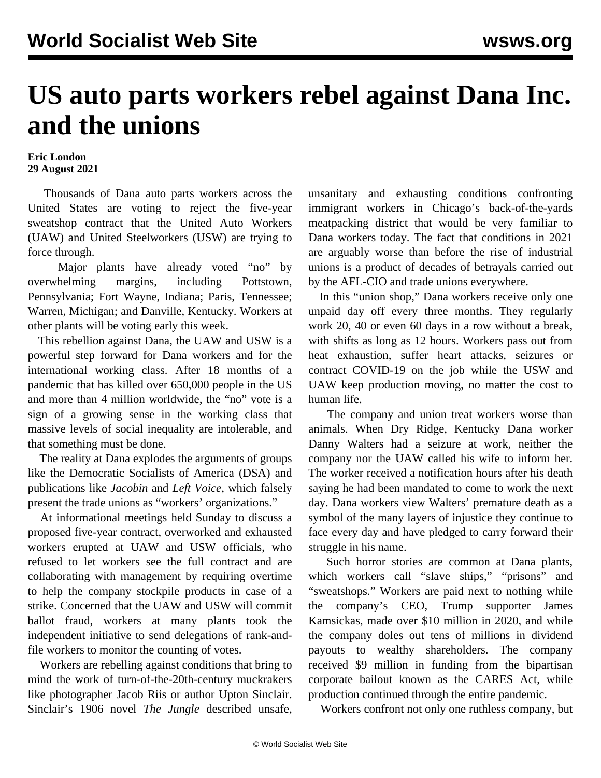## **US auto parts workers rebel against Dana Inc. and the unions**

## **Eric London 29 August 2021**

 Thousands of Dana auto parts workers across the United States are voting to reject the five-year sweatshop contract that the United Auto Workers (UAW) and United Steelworkers (USW) are trying to force through.

 Major plants have already voted "no" by overwhelming margins, including Pottstown, Pennsylvania; Fort Wayne, Indiana; Paris, Tennessee; Warren, Michigan; and Danville, Kentucky. Workers at other plants will be voting early this week.

 This rebellion against Dana, the UAW and USW is a powerful step forward for Dana workers and for the international working class. After 18 months of a pandemic that has killed over 650,000 people in the US and more than 4 million worldwide, the "no" vote is a sign of a growing sense in the working class that massive levels of social inequality are intolerable, and that something must be done.

 The reality at Dana explodes the arguments of groups like the Democratic Socialists of America (DSA) and publications like *Jacobin* and *Left Voice*, which falsely present the trade unions as "workers' organizations."

 At informational meetings held Sunday to discuss a proposed five-year contract, overworked and exhausted workers erupted at UAW and USW officials, who refused to let workers see the full contract and are collaborating with management by requiring overtime to help the company stockpile products in case of a strike. Concerned that the UAW and USW will commit ballot fraud, workers at many plants took the independent initiative to send delegations of rank-andfile workers to monitor the counting of votes.

 Workers are rebelling against conditions that bring to mind the work of turn-of-the-20th-century muckrakers like photographer Jacob Riis or author Upton Sinclair. Sinclair's 1906 novel *The Jungle* described unsafe, unsanitary and exhausting conditions confronting immigrant workers in Chicago's back-of-the-yards meatpacking district that would be very familiar to Dana workers today. The fact that conditions in 2021 are arguably worse than before the rise of industrial unions is a product of decades of betrayals carried out by the AFL-CIO and trade unions everywhere.

 In this "union shop," Dana workers receive only one unpaid day off every three months. They regularly work 20, 40 or even 60 days in a row without a break, with shifts as long as 12 hours. Workers pass out from heat exhaustion, suffer heart attacks, seizures or contract COVID-19 on the job while the USW and UAW keep production moving, no matter the cost to human life.

 The company and union treat workers worse than animals. When Dry Ridge, Kentucky Dana worker [Danny Walters](/en/articles/2021/08/27/dann-a27.html) had a seizure at work, neither the company nor the UAW called his wife to inform her. The worker received a notification hours after his death saying he had been mandated to come to work the next day. Dana workers view Walters' premature death as a symbol of the many layers of injustice they continue to face every day and have pledged to carry forward their struggle in his name.

 Such horror stories are common at Dana plants, which workers call "slave ships," "prisons" and "sweatshops." Workers are paid next to nothing while the company's CEO, Trump supporter James Kamsickas, made over \$10 million in 2020, and while the company doles out tens of millions in dividend payouts to wealthy shareholders. The company received \$9 million in funding from the bipartisan corporate bailout known as the CARES Act, while production continued through the entire pandemic.

Workers confront not only one ruthless company, but